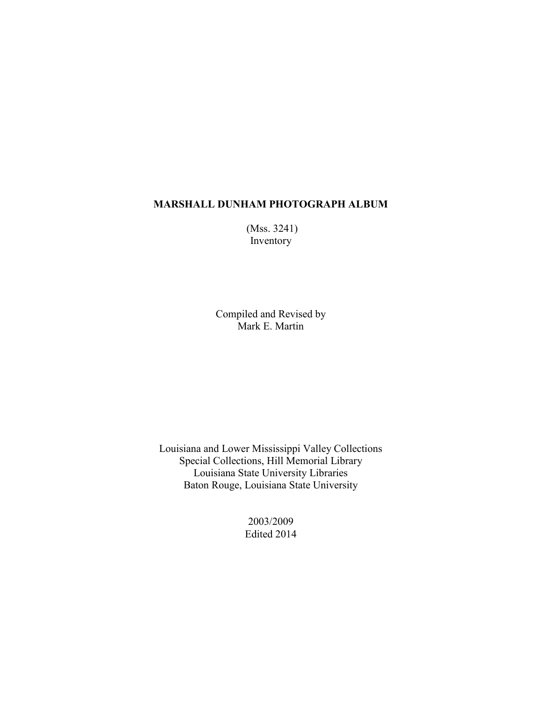(Mss. 3241) Inventory

Compiled and Revised by Mark E. Martin

Louisiana and Lower Mississippi Valley Collections Special Collections, Hill Memorial Library Louisiana State University Libraries Baton Rouge, Louisiana State University

> 2003/2009 Edited 2014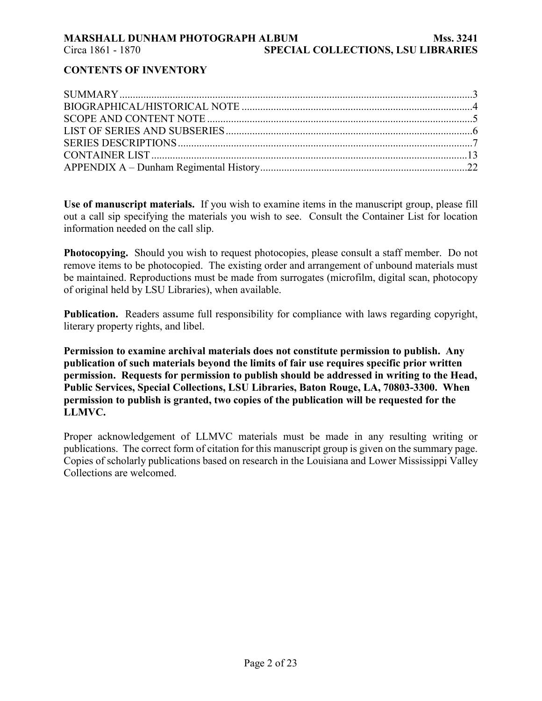# **MARSHALL DUNHAM PHOTOGRAPH ALBUM Mss. 3241**  Circa 1861 - 1870 **SPECIAL COLLECTIONS, LSU LIBRARIES**

# **CONTENTS OF INVENTORY**

**Use of manuscript materials.** If you wish to examine items in the manuscript group, please fill out a call sip specifying the materials you wish to see. Consult the Container List for location information needed on the call slip.

**Photocopying.** Should you wish to request photocopies, please consult a staff member. Do not remove items to be photocopied. The existing order and arrangement of unbound materials must be maintained. Reproductions must be made from surrogates (microfilm, digital scan, photocopy of original held by LSU Libraries), when available.

**Publication.** Readers assume full responsibility for compliance with laws regarding copyright, literary property rights, and libel.

**Permission to examine archival materials does not constitute permission to publish. Any publication of such materials beyond the limits of fair use requires specific prior written permission. Requests for permission to publish should be addressed in writing to the Head, Public Services, Special Collections, LSU Libraries, Baton Rouge, LA, 70803-3300. When permission to publish is granted, two copies of the publication will be requested for the LLMVC.** 

Proper acknowledgement of LLMVC materials must be made in any resulting writing or publications. The correct form of citation for this manuscript group is given on the summary page. Copies of scholarly publications based on research in the Louisiana and Lower Mississippi Valley Collections are welcomed.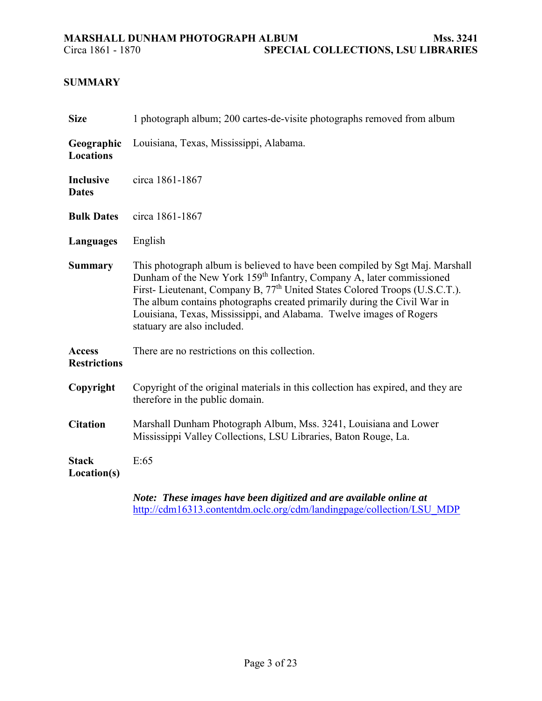# **SUMMARY**

| <b>Size</b>                          | 1 photograph album; 200 cartes-de-visite photographs removed from album                                                                                                                                                                                                                                                                                                                                                                       |
|--------------------------------------|-----------------------------------------------------------------------------------------------------------------------------------------------------------------------------------------------------------------------------------------------------------------------------------------------------------------------------------------------------------------------------------------------------------------------------------------------|
| Geographic<br><b>Locations</b>       | Louisiana, Texas, Mississippi, Alabama.                                                                                                                                                                                                                                                                                                                                                                                                       |
| <b>Inclusive</b><br><b>Dates</b>     | circa 1861-1867                                                                                                                                                                                                                                                                                                                                                                                                                               |
| <b>Bulk Dates</b>                    | circa 1861-1867                                                                                                                                                                                                                                                                                                                                                                                                                               |
| Languages                            | English                                                                                                                                                                                                                                                                                                                                                                                                                                       |
| <b>Summary</b>                       | This photograph album is believed to have been compiled by Sgt Maj. Marshall<br>Dunham of the New York 159 <sup>th</sup> Infantry, Company A, later commissioned<br>First- Lieutenant, Company B, 77 <sup>th</sup> United States Colored Troops (U.S.C.T.).<br>The album contains photographs created primarily during the Civil War in<br>Louisiana, Texas, Mississippi, and Alabama. Twelve images of Rogers<br>statuary are also included. |
| <b>Access</b><br><b>Restrictions</b> | There are no restrictions on this collection.                                                                                                                                                                                                                                                                                                                                                                                                 |
| Copyright                            | Copyright of the original materials in this collection has expired, and they are<br>therefore in the public domain.                                                                                                                                                                                                                                                                                                                           |
| <b>Citation</b>                      | Marshall Dunham Photograph Album, Mss. 3241, Louisiana and Lower<br>Mississippi Valley Collections, LSU Libraries, Baton Rouge, La.                                                                                                                                                                                                                                                                                                           |
| <b>Stack</b><br>Location(s)          | E:65                                                                                                                                                                                                                                                                                                                                                                                                                                          |
|                                      | Note: These images have been digitized and are available online at                                                                                                                                                                                                                                                                                                                                                                            |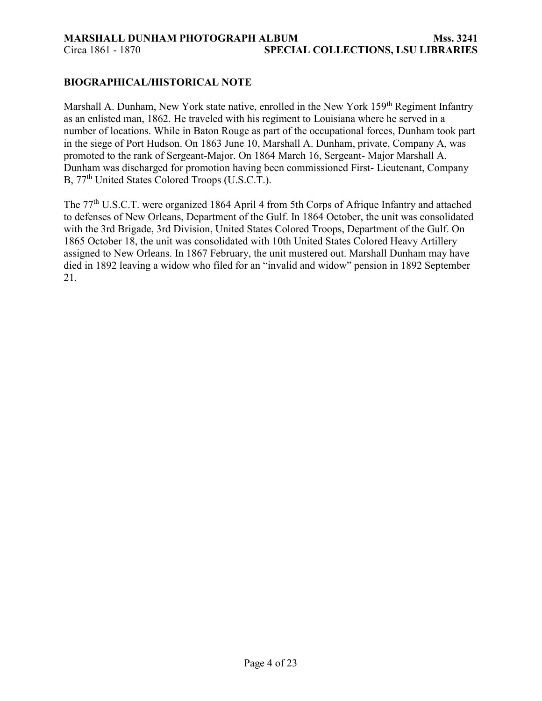# **BIOGRAPHICAL/HISTORICAL NOTE**

Marshall A. Dunham, New York state native, enrolled in the New York 159<sup>th</sup> Regiment Infantry as an enlisted man, 1862. He traveled with his regiment to Louisiana where he served in a number of locations. While in Baton Rouge as part of the occupational forces, Dunham took part in the siege of Port Hudson. On 1863 June 10, Marshall A. Dunham, private, Company A, was promoted to the rank of Sergeant-Major. On 1864 March 16, Sergeant- Major Marshall A. Dunham was discharged for promotion having been commissioned First- Lieutenant, Company B, 77<sup>th</sup> United States Colored Troops (U.S.C.T.).

The 77<sup>th</sup> U.S.C.T. were organized 1864 April 4 from 5th Corps of Afrique Infantry and attached to defenses of New Orleans, Department of the Gulf. In 1864 October, the unit was consolidated with the 3rd Brigade, 3rd Division, United States Colored Troops, Department of the Gulf. On 1865 October 18, the unit was consolidated with 10th United States Colored Heavy Artillery assigned to New Orleans. In 1867 February, the unit mustered out. Marshall Dunham may have died in 1892 leaving a widow who filed for an "invalid and widow" pension in 1892 September 21.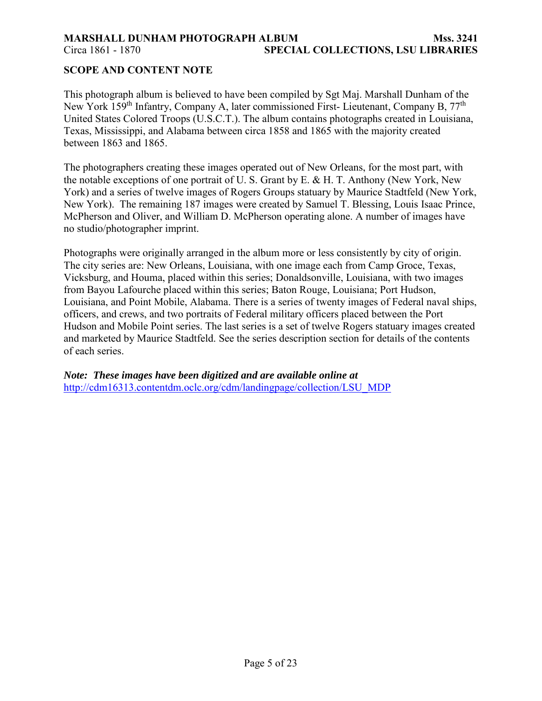# **MARSHALL DUNHAM PHOTOGRAPH ALBUM Mss. 3241**  Circa 1861 - 1870 **SPECIAL COLLECTIONS, LSU LIBRARIES**

# **SCOPE AND CONTENT NOTE**

This photograph album is believed to have been compiled by Sgt Maj. Marshall Dunham of the New York 159<sup>th</sup> Infantry, Company A, later commissioned First- Lieutenant, Company B, 77<sup>th</sup> United States Colored Troops (U.S.C.T.). The album contains photographs created in Louisiana, Texas, Mississippi, and Alabama between circa 1858 and 1865 with the majority created between 1863 and 1865.

The photographers creating these images operated out of New Orleans, for the most part, with the notable exceptions of one portrait of U. S. Grant by E. & H. T. Anthony (New York, New York) and a series of twelve images of Rogers Groups statuary by Maurice Stadtfeld (New York, New York). The remaining 187 images were created by Samuel T. Blessing, Louis Isaac Prince, McPherson and Oliver, and William D. McPherson operating alone. A number of images have no studio/photographer imprint.

Photographs were originally arranged in the album more or less consistently by city of origin. The city series are: New Orleans, Louisiana, with one image each from Camp Groce, Texas, Vicksburg, and Houma, placed within this series; Donaldsonville, Louisiana, with two images from Bayou Lafourche placed within this series; Baton Rouge, Louisiana; Port Hudson, Louisiana, and Point Mobile, Alabama. There is a series of twenty images of Federal naval ships, officers, and crews, and two portraits of Federal military officers placed between the Port Hudson and Mobile Point series. The last series is a set of twelve Rogers statuary images created and marketed by Maurice Stadtfeld. See the series description section for details of the contents of each series.

*Note: These images have been digitized and are available online at* [http://cdm16313.contentdm.oclc.org/cdm/landingpage/collection/LSU\\_MDP](http://cdm16313.contentdm.oclc.org/cdm/landingpage/collection/LSU_MDP)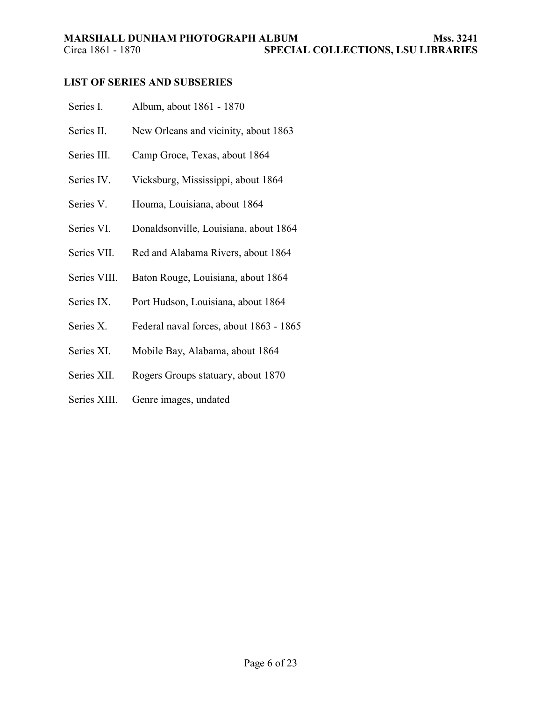# **LIST OF SERIES AND SUBSERIES**

| Series I.    | Album, about 1861 - 1870                |
|--------------|-----------------------------------------|
| Series II.   | New Orleans and vicinity, about 1863    |
| Series III.  | Camp Groce, Texas, about 1864           |
| Series IV.   | Vicksburg, Mississippi, about 1864      |
| Series V.    | Houma, Louisiana, about 1864            |
| Series VI.   | Donaldsonville, Louisiana, about 1864   |
| Series VII.  | Red and Alabama Rivers, about 1864      |
| Series VIII. | Baton Rouge, Louisiana, about 1864      |
| Series IX.   | Port Hudson, Louisiana, about 1864      |
| Series X.    | Federal naval forces, about 1863 - 1865 |
| Series XI.   | Mobile Bay, Alabama, about 1864         |
|              |                                         |

- Series XII. Rogers Groups statuary, about 1870
- Series XIII. Genre images, undated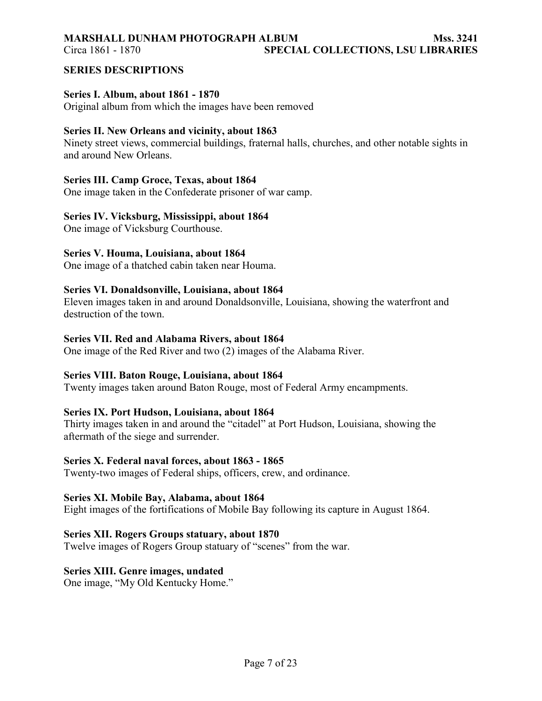### **MARSHALL DUNHAM PHOTOGRAPH ALBUM Mss. 3241**  Circa 1861 - 1870 **SPECIAL COLLECTIONS, LSU LIBRARIES**

**SERIES DESCRIPTIONS** 

### **Series I. Album, about 1861 - 1870**

Original album from which the images have been removed

## **Series II. New Orleans and vicinity, about 1863**

Ninety street views, commercial buildings, fraternal halls, churches, and other notable sights in and around New Orleans.

# **Series III. Camp Groce, Texas, about 1864**

One image taken in the Confederate prisoner of war camp.

# **Series IV. Vicksburg, Mississippi, about 1864**

One image of Vicksburg Courthouse.

# **Series V. Houma, Louisiana, about 1864**

One image of a thatched cabin taken near Houma.

### **Series VI. Donaldsonville, Louisiana, about 1864**

Eleven images taken in and around Donaldsonville, Louisiana, showing the waterfront and destruction of the town.

### **Series VII. Red and Alabama Rivers, about 1864**

One image of the Red River and two (2) images of the Alabama River.

### **Series VIII. Baton Rouge, Louisiana, about 1864**

Twenty images taken around Baton Rouge, most of Federal Army encampments.

### **Series IX. Port Hudson, Louisiana, about 1864**

Thirty images taken in and around the "citadel" at Port Hudson, Louisiana, showing the aftermath of the siege and surrender.

### **Series X. Federal naval forces, about 1863 - 1865**

Twenty-two images of Federal ships, officers, crew, and ordinance.

### **Series XI. Mobile Bay, Alabama, about 1864**

Eight images of the fortifications of Mobile Bay following its capture in August 1864.

### **Series XII. Rogers Groups statuary, about 1870**

Twelve images of Rogers Group statuary of "scenes" from the war.

# **Series XIII. Genre images, undated**

One image, "My Old Kentucky Home."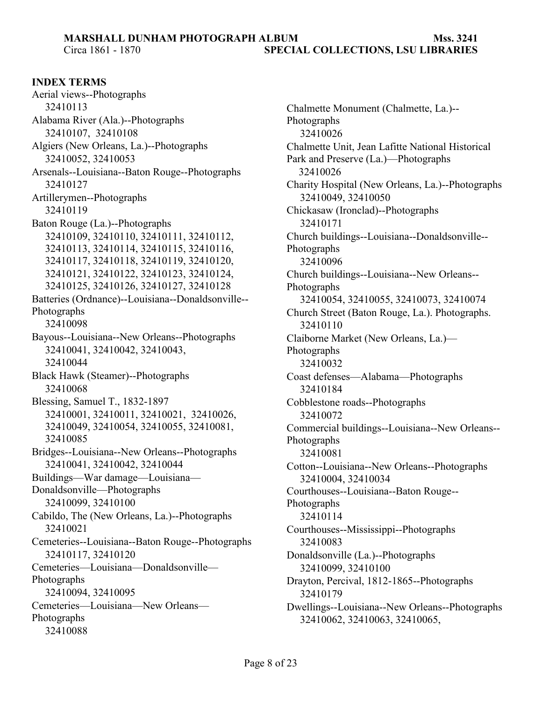# **MARSHALL DUNHAM PHOTOGRAPH ALBUM Mss. 3241**  Circa 1861 - 1870 **SPECIAL COLLECTIONS, LSU LIBRARIES**

**INDEX TERMS** 

Aerial views--Photographs 32410113 Alabama River (Ala.)--Photographs 32410107, 32410108 Algiers (New Orleans, La.)--Photographs 32410052, 32410053 Arsenals--Louisiana--Baton Rouge--Photographs 32410127 Artillerymen--Photographs 32410119 Baton Rouge (La.)--Photographs 32410109, 32410110, 32410111, 32410112, 32410113, 32410114, 32410115, 32410116, 32410117, 32410118, 32410119, 32410120, 32410121, 32410122, 32410123, 32410124, 32410125, 32410126, 32410127, 32410128 Batteries (Ordnance)--Louisiana--Donaldsonville-- Photographs 32410098 Bayous--Louisiana--New Orleans--Photographs 32410041, 32410042, 32410043, 32410044 Black Hawk (Steamer)--Photographs 32410068 Blessing, Samuel T., 1832-1897 32410001, 32410011, 32410021, 32410026, 32410049, 32410054, 32410055, 32410081, 32410085 Bridges--Louisiana--New Orleans--Photographs 32410041, 32410042, 32410044 Buildings—War damage—Louisiana— Donaldsonville—Photographs 32410099, 32410100 Cabildo, The (New Orleans, La.)--Photographs 32410021 Cemeteries--Louisiana--Baton Rouge--Photographs 32410117, 32410120 Cemeteries—Louisiana—Donaldsonville— Photographs 32410094, 32410095 Cemeteries—Louisiana—New Orleans— Photographs 32410088

Chalmette Monument (Chalmette, La.)-- Photographs 32410026 Chalmette Unit, Jean Lafitte National Historical Park and Preserve (La.)—Photographs 32410026 Charity Hospital (New Orleans, La.)--Photographs 32410049, 32410050 Chickasaw (Ironclad)--Photographs 32410171 Church buildings--Louisiana--Donaldsonville-- Photographs 32410096 Church buildings--Louisiana--New Orleans-- Photographs 32410054, 32410055, 32410073, 32410074 Church Street (Baton Rouge, La.). Photographs. 32410110 Claiborne Market (New Orleans, La.)— Photographs 32410032 Coast defenses—Alabama—Photographs 32410184 Cobblestone roads--Photographs 32410072 Commercial buildings--Louisiana--New Orleans-- Photographs 32410081 Cotton--Louisiana--New Orleans--Photographs 32410004, 32410034 Courthouses--Louisiana--Baton Rouge-- Photographs 32410114 Courthouses--Mississippi--Photographs 32410083 Donaldsonville (La.)--Photographs 32410099, 32410100 Drayton, Percival, 1812-1865--Photographs 32410179 Dwellings--Louisiana--New Orleans--Photographs 32410062, 32410063, 32410065,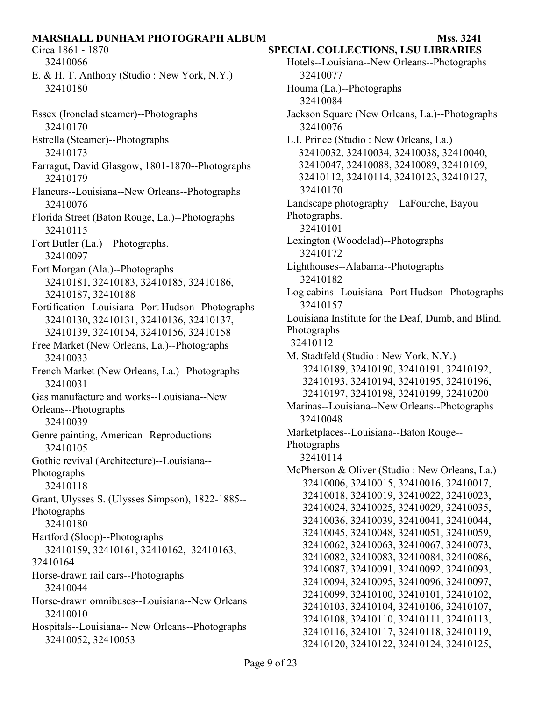32410066 E. & H. T. Anthony (Studio : New York, N.Y.) 32410180

- Essex (Ironclad steamer)--Photographs 32410170
- Estrella (Steamer)--Photographs 32410173
- Farragut, David Glasgow, 1801-1870--Photographs 32410179
- Flaneurs--Louisiana--New Orleans--Photographs 32410076
- Florida Street (Baton Rouge, La.)--Photographs 32410115
- Fort Butler (La.)—Photographs. 32410097
- Fort Morgan (Ala.)--Photographs 32410181, 32410183, 32410185, 32410186, 32410187, 32410188
- Fortification--Louisiana--Port Hudson--Photographs 32410130, 32410131, 32410136, 32410137, 32410139, 32410154, 32410156, 32410158
- Free Market (New Orleans, La.)--Photographs 32410033
- French Market (New Orleans, La.)--Photographs 32410031
- Gas manufacture and works--Louisiana--New Orleans--Photographs
- 32410039
- Genre painting, American--Reproductions 32410105
- Gothic revival (Architecture)--Louisiana-- Photographs
- 32410118
- Grant, Ulysses S. (Ulysses Simpson), 1822-1885-- Photographs
- 32410180
- Hartford (Sloop)--Photographs
- 32410159, 32410161, 32410162, 32410163, 32410164
- Horse-drawn rail cars--Photographs 32410044
- Horse-drawn omnibuses--Louisiana--New Orleans 32410010
- Hospitals--Louisiana-- New Orleans--Photographs 32410052, 32410053

Circa 1861 - 1870 **SPECIAL COLLECTIONS, LSU LIBRARIES** 

Hotels--Louisiana--New Orleans--Photographs 32410077 Houma (La.)--Photographs 32410084 Jackson Square (New Orleans, La.)--Photographs 32410076 L.I. Prince (Studio : New Orleans, La.) 32410032, 32410034, 32410038, 32410040, 32410047, 32410088, 32410089, 32410109, 32410112, 32410114, 32410123, 32410127, 32410170 Landscape photography—LaFourche, Bayou— Photographs. 32410101 Lexington (Woodclad)--Photographs 32410172 Lighthouses--Alabama--Photographs 32410182 Log cabins--Louisiana--Port Hudson--Photographs 32410157 Louisiana Institute for the Deaf, Dumb, and Blind. Photographs 32410112 M. Stadtfeld (Studio : New York, N.Y.) 32410189, 32410190, 32410191, 32410192, 32410193, 32410194, 32410195, 32410196, 32410197, 32410198, 32410199, 32410200 Marinas--Louisiana--New Orleans--Photographs 32410048 Marketplaces--Louisiana--Baton Rouge-- Photographs 32410114 McPherson & Oliver (Studio : New Orleans, La.) 32410006, 32410015, 32410016, 32410017, 32410018, 32410019, 32410022, 32410023, 32410024, 32410025, 32410029, 32410035, 32410036, 32410039, 32410041, 32410044, 32410045, 32410048, 32410051, 32410059, 32410062, 32410063, 32410067, 32410073, 32410082, 32410083, 32410084, 32410086, 32410087, 32410091, 32410092, 32410093, 32410094, 32410095, 32410096, 32410097, 32410099, 32410100, 32410101, 32410102, 32410103, 32410104, 32410106, 32410107, 32410108, 32410110, 32410111, 32410113, 32410116, 32410117, 32410118, 32410119, 32410120, 32410122, 32410124, 32410125,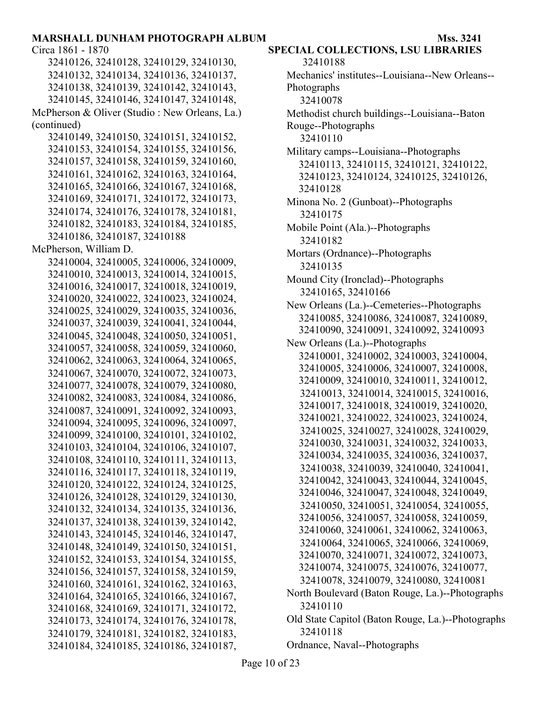32410126, 32410128, 32410129, 32410130, 32410132, 32410134, 32410136, 32410137, 32410138, 32410139, 32410142, 32410143, 32410145, 32410146, 32410147, 32410148, McPherson & Oliver (Studio : New Orleans, La.) (continued) 32410149, 32410150, 32410151, 32410152, 32410153, 32410154, 32410155, 32410156, 32410157, 32410158, 32410159, 32410160, 32410161, 32410162, 32410163, 32410164, 32410165, 32410166, 32410167, 32410168, 32410169, 32410171, 32410172, 32410173, 32410174, 32410176, 32410178, 32410181, 32410182, 32410183, 32410184, 32410185, 32410186, 32410187, 32410188 McPherson, William D. 32410004, 32410005, 32410006, 32410009, 32410010, 32410013, 32410014, 32410015, 32410016, 32410017, 32410018, 32410019, 32410020, 32410022, 32410023, 32410024, 32410025, 32410029, 32410035, 32410036, 32410037, 32410039, 32410041, 32410044, 32410045, 32410048, 32410050, 32410051, 32410057, 32410058, 32410059, 32410060, 32410062, 32410063, 32410064, 32410065, 32410067, 32410070, 32410072, 32410073, 32410077, 32410078, 32410079, 32410080, 32410082, 32410083, 32410084, 32410086, 32410087, 32410091, 32410092, 32410093, 32410094, 32410095, 32410096, 32410097, 32410099, 32410100, 32410101, 32410102, 32410103, 32410104, 32410106, 32410107, 32410108, 32410110, 32410111, 32410113, 32410116, 32410117, 32410118, 32410119, 32410120, 32410122, 32410124, 32410125, 32410126, 32410128, 32410129, 32410130, 32410132, 32410134, 32410135, 32410136, 32410137, 32410138, 32410139, 32410142, 32410143, 32410145, 32410146, 32410147, 32410148, 32410149, 32410150, 32410151, 32410152, 32410153, 32410154, 32410155, 32410156, 32410157, 32410158, 32410159, 32410160, 32410161, 32410162, 32410163, 32410164, 32410165, 32410166, 32410167, 32410168, 32410169, 32410171, 32410172, 32410173, 32410174, 32410176, 32410178, 32410179, 32410181, 32410182, 32410183, 32410184, 32410185, 32410186, 32410187,

# Circa 1861 - 1870 **SPECIAL COLLECTIONS, LSU LIBRARIES**

```
32410188
```
- Mechanics' institutes--Louisiana--New Orleans-- Photographs 32410078 Methodist church buildings--Louisiana--Baton
- Rouge--Photographs
	- 32410110
- Military camps--Louisiana--Photographs 32410113, 32410115, 32410121, 32410122, 32410123, 32410124, 32410125, 32410126, 32410128
- Minona No. 2 (Gunboat)--Photographs 32410175
- Mobile Point (Ala.)--Photographs 32410182
- Mortars (Ordnance)--Photographs 32410135
- Mound City (Ironclad)--Photographs 32410165, 32410166
- New Orleans (La.)--Cemeteries--Photographs 32410085, 32410086, 32410087, 32410089, 32410090, 32410091, 32410092, 32410093
- New Orleans (La.)--Photographs
- 32410001, 32410002, 32410003, 32410004, 32410005, 32410006, 32410007, 32410008, 32410009, 32410010, 32410011, 32410012, 32410013, 32410014, 32410015, 32410016, 32410017, 32410018, 32410019, 32410020, 32410021, 32410022, 32410023, 32410024, 32410025, 32410027, 32410028, 32410029, 32410030, 32410031, 32410032, 32410033, 32410034, 32410035, 32410036, 32410037, 32410038, 32410039, 32410040, 32410041, 32410042, 32410043, 32410044, 32410045, 32410046, 32410047, 32410048, 32410049, 32410050, 32410051, 32410054, 32410055, 32410056, 32410057, 32410058, 32410059, 32410060, 32410061, 32410062, 32410063, 32410064, 32410065, 32410066, 32410069, 32410070, 32410071, 32410072, 32410073, 32410074, 32410075, 32410076, 32410077, 32410078, 32410079, 32410080, 32410081
- North Boulevard (Baton Rouge, La.)--Photographs 32410110
- Old State Capitol (Baton Rouge, La.)--Photographs 32410118
- Ordnance, Naval--Photographs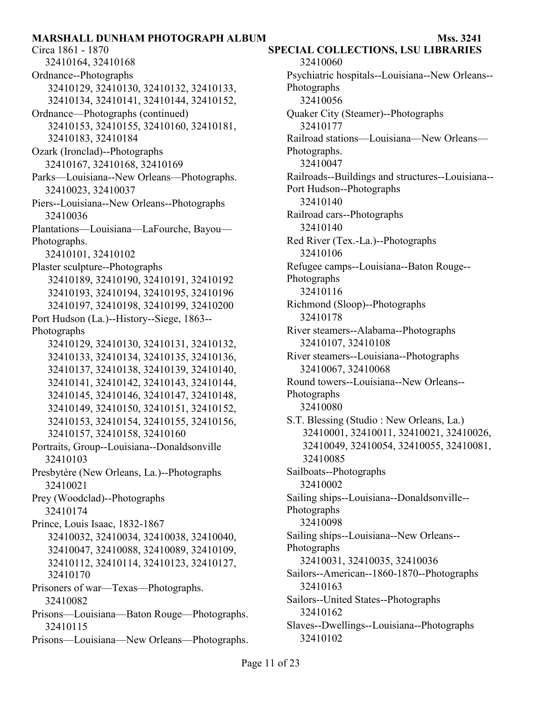Circa 1861 - 1870 **SPECIAL COLLECTIONS, LSU LIBRARIES**  32410164, 32410168 Ordnance--Photographs 32410129, 32410130, 32410132, 32410133, 32410134, 32410141, 32410144, 32410152, Ordnance—Photographs (continued) 32410153, 32410155, 32410160, 32410181, 32410183, 32410184 Ozark (Ironclad)--Photographs 32410167, 32410168, 32410169 Parks—Louisiana--New Orleans—Photographs. 32410023, 32410037 Piers--Louisiana--New Orleans--Photographs 32410036 Plantations—Louisiana—LaFourche, Bayou— Photographs. 32410101, 32410102 Plaster sculpture--Photographs 32410189, 32410190, 32410191, 32410192 32410193, 32410194, 32410195, 32410196 32410197, 32410198, 32410199, 32410200 Port Hudson (La.)--History--Siege, 1863-- Photographs 32410129, 32410130, 32410131, 32410132, 32410133, 32410134, 32410135, 32410136, 32410137, 32410138, 32410139, 32410140, 32410141, 32410142, 32410143, 32410144, 32410145, 32410146, 32410147, 32410148, 32410149, 32410150, 32410151, 32410152, 32410153, 32410154, 32410155, 32410156, 32410157, 32410158, 32410160 Portraits, Group--Louisiana--Donaldsonville 32410103 Presbytère (New Orleans, La.)--Photographs 32410021 Prey (Woodclad)--Photographs 32410174 Prince, Louis Isaac, 1832-1867 32410032, 32410034, 32410038, 32410040, 32410047, 32410088, 32410089, 32410109, 32410112, 32410114, 32410123, 32410127, 32410170 Prisoners of war—Texas—Photographs. 32410082 Prisons—Louisiana—Baton Rouge—Photographs. 32410115 Prisons—Louisiana—New Orleans—Photographs.

32410060 Psychiatric hospitals--Louisiana--New Orleans-- Photographs 32410056 Quaker City (Steamer)--Photographs 32410177 Railroad stations—Louisiana—New Orleans— Photographs. 32410047 Railroads--Buildings and structures--Louisiana-- Port Hudson--Photographs 32410140 Railroad cars--Photographs 32410140 Red River (Tex.-La.)--Photographs 32410106 Refugee camps--Louisiana--Baton Rouge-- Photographs 32410116 Richmond (Sloop)--Photographs 32410178 River steamers--Alabama--Photographs 32410107, 32410108 River steamers--Louisiana--Photographs 32410067, 32410068 Round towers--Louisiana--New Orleans-- Photographs 32410080 S.T. Blessing (Studio : New Orleans, La.) 32410001, 32410011, 32410021, 32410026, 32410049, 32410054, 32410055, 32410081, 32410085 Sailboats--Photographs 32410002 Sailing ships--Louisiana--Donaldsonville-- Photographs 32410098 Sailing ships--Louisiana--New Orleans-- Photographs 32410031, 32410035, 32410036 Sailors--American--1860-1870--Photographs 32410163 Sailors--United States--Photographs 32410162 Slaves--Dwellings--Louisiana--Photographs 32410102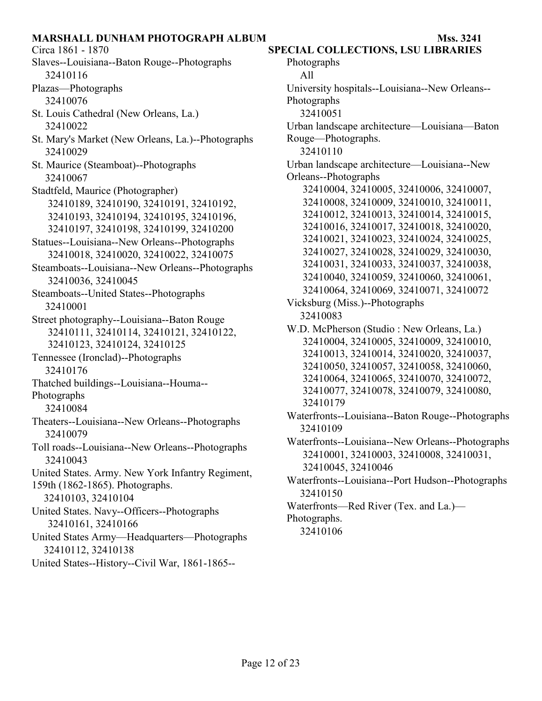Circa 1861 - 1870 **SPECIAL COLLECTIONS, LSU LIBRARIES**  Slaves--Louisiana--Baton Rouge--Photographs 32410116 Plazas—Photographs 32410076 St. Louis Cathedral (New Orleans, La.) 32410022 St. Mary's Market (New Orleans, La.)--Photographs 32410029 St. Maurice (Steamboat)--Photographs 32410067 Stadtfeld, Maurice (Photographer) 32410189, 32410190, 32410191, 32410192, 32410193, 32410194, 32410195, 32410196, 32410197, 32410198, 32410199, 32410200 Statues--Louisiana--New Orleans--Photographs 32410018, 32410020, 32410022, 32410075 Steamboats--Louisiana--New Orleans--Photographs 32410036, 32410045 Steamboats--United States--Photographs 32410001 Street photography--Louisiana--Baton Rouge 32410111, 32410114, 32410121, 32410122, 32410123, 32410124, 32410125 Tennessee (Ironclad)--Photographs 32410176 Thatched buildings--Louisiana--Houma-- Photographs 32410084 Theaters--Louisiana--New Orleans--Photographs 32410079 Toll roads--Louisiana--New Orleans--Photographs 32410043 United States. Army. New York Infantry Regiment, 159th (1862-1865). Photographs. 32410103, 32410104 United States. Navy--Officers--Photographs 32410161, 32410166 United States Army—Headquarters—Photographs 32410112, 32410138 United States--History--Civil War, 1861-1865--

Photographs All University hospitals--Louisiana--New Orleans-- Photographs 32410051 Urban landscape architecture—Louisiana—Baton Rouge—Photographs. 32410110 Urban landscape architecture—Louisiana--New Orleans--Photographs 32410004, 32410005, 32410006, 32410007, 32410008, 32410009, 32410010, 32410011, 32410012, 32410013, 32410014, 32410015, 32410016, 32410017, 32410018, 32410020, 32410021, 32410023, 32410024, 32410025, 32410027, 32410028, 32410029, 32410030, 32410031, 32410033, 32410037, 32410038, 32410040, 32410059, 32410060, 32410061, 32410064, 32410069, 32410071, 32410072 Vicksburg (Miss.)--Photographs 32410083 W.D. McPherson (Studio : New Orleans, La.) 32410004, 32410005, 32410009, 32410010, 32410013, 32410014, 32410020, 32410037, 32410050, 32410057, 32410058, 32410060, 32410064, 32410065, 32410070, 32410072, 32410077, 32410078, 32410079, 32410080, 32410179 Waterfronts--Louisiana--Baton Rouge--Photographs 32410109 Waterfronts--Louisiana--New Orleans--Photographs 32410001, 32410003, 32410008, 32410031, 32410045, 32410046 Waterfronts--Louisiana--Port Hudson--Photographs 32410150 Waterfronts—Red River (Tex. and La.)— Photographs. 32410106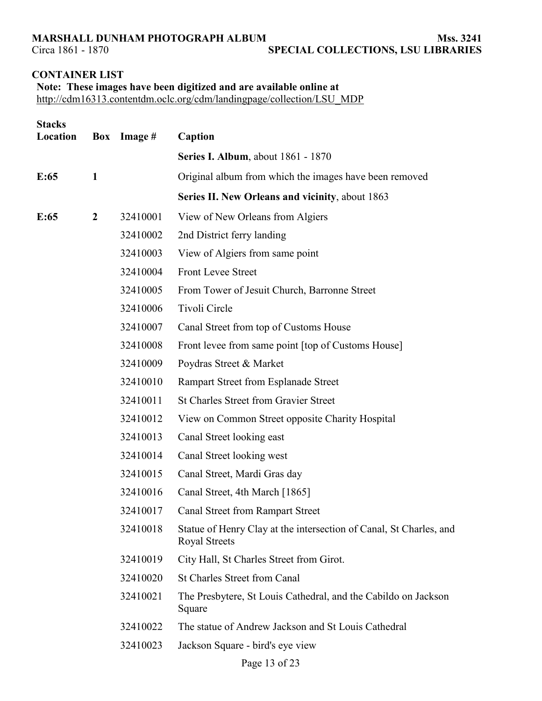# **CONTAINER LIST**

| Note: These images have been digitized and are available online at    |
|-----------------------------------------------------------------------|
| http://cdm16313.contentdm.oclc.org/cdm/landingpage/collection/LSU MDP |

| <b>Stacks</b><br>Location |                  | Box Image # | Caption                                                                                    |
|---------------------------|------------------|-------------|--------------------------------------------------------------------------------------------|
|                           |                  |             | <b>Series I. Album, about 1861 - 1870</b>                                                  |
| E:65                      | $\mathbf{1}$     |             | Original album from which the images have been removed                                     |
|                           |                  |             | Series II. New Orleans and vicinity, about 1863                                            |
| E:65                      | $\boldsymbol{2}$ | 32410001    | View of New Orleans from Algiers                                                           |
|                           |                  | 32410002    | 2nd District ferry landing                                                                 |
|                           |                  | 32410003    | View of Algiers from same point                                                            |
|                           |                  | 32410004    | <b>Front Levee Street</b>                                                                  |
|                           |                  | 32410005    | From Tower of Jesuit Church, Barronne Street                                               |
|                           |                  | 32410006    | Tivoli Circle                                                                              |
|                           |                  | 32410007    | Canal Street from top of Customs House                                                     |
|                           |                  | 32410008    | Front levee from same point [top of Customs House]                                         |
|                           |                  | 32410009    | Poydras Street & Market                                                                    |
|                           |                  | 32410010    | Rampart Street from Esplanade Street                                                       |
|                           |                  | 32410011    | <b>St Charles Street from Gravier Street</b>                                               |
|                           |                  | 32410012    | View on Common Street opposite Charity Hospital                                            |
|                           |                  | 32410013    | Canal Street looking east                                                                  |
|                           |                  | 32410014    | Canal Street looking west                                                                  |
|                           |                  | 32410015    | Canal Street, Mardi Gras day                                                               |
|                           |                  | 32410016    | Canal Street, 4th March [1865]                                                             |
|                           |                  | 32410017    | <b>Canal Street from Rampart Street</b>                                                    |
|                           |                  | 32410018    | Statue of Henry Clay at the intersection of Canal, St Charles, and<br><b>Royal Streets</b> |
|                           |                  | 32410019    | City Hall, St Charles Street from Girot.                                                   |
|                           |                  | 32410020    | <b>St Charles Street from Canal</b>                                                        |
|                           |                  | 32410021    | The Presbytere, St Louis Cathedral, and the Cabildo on Jackson<br>Square                   |
|                           |                  | 32410022    | The statue of Andrew Jackson and St Louis Cathedral                                        |
|                           |                  | 32410023    | Jackson Square - bird's eye view                                                           |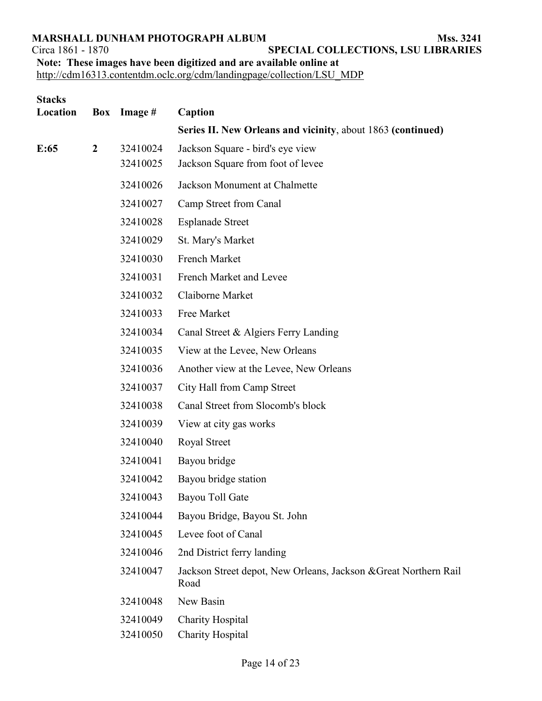**SPECIAL COLLECTIONS, LSU LIBRARIES** 

**Note: These images have been digitized and are available online at**

| <b>Stacks</b><br>Location | Box              | Image #              | Caption                                                                  |
|---------------------------|------------------|----------------------|--------------------------------------------------------------------------|
|                           |                  |                      | Series II. New Orleans and vicinity, about 1863 (continued)              |
| E:65                      | $\boldsymbol{2}$ | 32410024<br>32410025 | Jackson Square - bird's eye view<br>Jackson Square from foot of levee    |
|                           |                  | 32410026             | Jackson Monument at Chalmette                                            |
|                           |                  | 32410027             | Camp Street from Canal                                                   |
|                           |                  | 32410028             | <b>Esplanade Street</b>                                                  |
|                           |                  | 32410029             | St. Mary's Market                                                        |
|                           |                  | 32410030             | French Market                                                            |
|                           |                  | 32410031             | French Market and Levee                                                  |
|                           |                  | 32410032             | Claiborne Market                                                         |
|                           |                  | 32410033             | Free Market                                                              |
|                           |                  | 32410034             | Canal Street & Algiers Ferry Landing                                     |
|                           |                  | 32410035             | View at the Levee, New Orleans                                           |
|                           |                  | 32410036             | Another view at the Levee, New Orleans                                   |
|                           |                  | 32410037             | City Hall from Camp Street                                               |
|                           |                  | 32410038             | Canal Street from Slocomb's block                                        |
|                           |                  | 32410039             | View at city gas works                                                   |
|                           |                  | 32410040             | Royal Street                                                             |
|                           |                  | 32410041             | Bayou bridge                                                             |
|                           |                  | 32410042             | Bayou bridge station                                                     |
|                           |                  | 32410043             | Bayou Toll Gate                                                          |
|                           |                  | 32410044             | Bayou Bridge, Bayou St. John                                             |
|                           |                  | 32410045             | Levee foot of Canal                                                      |
|                           |                  | 32410046             | 2nd District ferry landing                                               |
|                           |                  | 32410047             | Jackson Street depot, New Orleans, Jackson & Great Northern Rail<br>Road |
|                           |                  | 32410048             | New Basin                                                                |
|                           |                  | 32410049             | <b>Charity Hospital</b>                                                  |
|                           |                  | 32410050             | <b>Charity Hospital</b>                                                  |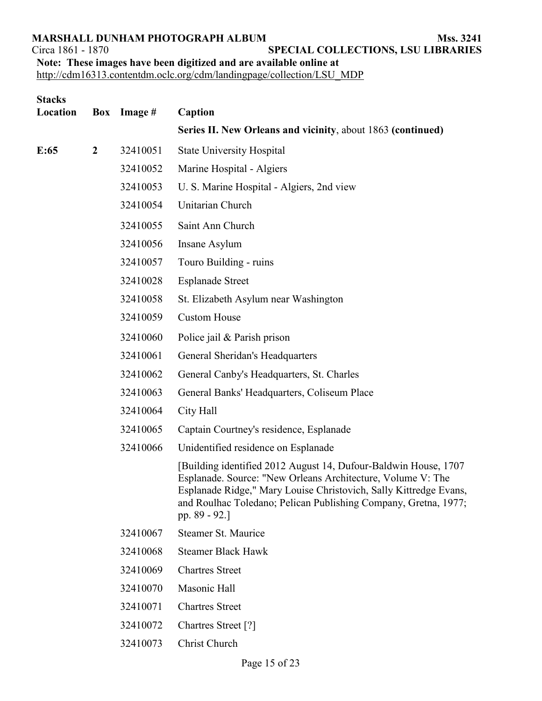**SPECIAL COLLECTIONS, LSU LIBRARIES** 

**Note: These images have been digitized and are available online at**

| <b>Stacks</b><br>Location |                | Box Image # | Caption                                                                                                                                                                                                                                                                                   |
|---------------------------|----------------|-------------|-------------------------------------------------------------------------------------------------------------------------------------------------------------------------------------------------------------------------------------------------------------------------------------------|
|                           |                |             | Series II. New Orleans and vicinity, about 1863 (continued)                                                                                                                                                                                                                               |
| E:65                      | $\overline{2}$ | 32410051    | <b>State University Hospital</b>                                                                                                                                                                                                                                                          |
|                           |                | 32410052    | Marine Hospital - Algiers                                                                                                                                                                                                                                                                 |
|                           |                | 32410053    | U. S. Marine Hospital - Algiers, 2nd view                                                                                                                                                                                                                                                 |
|                           |                | 32410054    | Unitarian Church                                                                                                                                                                                                                                                                          |
|                           |                | 32410055    | Saint Ann Church                                                                                                                                                                                                                                                                          |
|                           |                | 32410056    | Insane Asylum                                                                                                                                                                                                                                                                             |
|                           |                | 32410057    | Touro Building - ruins                                                                                                                                                                                                                                                                    |
|                           |                | 32410028    | <b>Esplanade Street</b>                                                                                                                                                                                                                                                                   |
|                           |                | 32410058    | St. Elizabeth Asylum near Washington                                                                                                                                                                                                                                                      |
|                           |                | 32410059    | <b>Custom House</b>                                                                                                                                                                                                                                                                       |
|                           |                | 32410060    | Police jail $&$ Parish prison                                                                                                                                                                                                                                                             |
|                           |                | 32410061    | General Sheridan's Headquarters                                                                                                                                                                                                                                                           |
|                           |                | 32410062    | General Canby's Headquarters, St. Charles                                                                                                                                                                                                                                                 |
|                           |                | 32410063    | General Banks' Headquarters, Coliseum Place                                                                                                                                                                                                                                               |
|                           |                | 32410064    | City Hall                                                                                                                                                                                                                                                                                 |
|                           |                | 32410065    | Captain Courtney's residence, Esplanade                                                                                                                                                                                                                                                   |
|                           |                | 32410066    | Unidentified residence on Esplanade                                                                                                                                                                                                                                                       |
|                           |                |             | [Building identified 2012 August 14, Dufour-Baldwin House, 1707<br>Esplanade. Source: "New Orleans Architecture, Volume V: The<br>Esplanade Ridge," Mary Louise Christovich, Sally Kittredge Evans,<br>and Roulhac Toledano; Pelican Publishing Company, Gretna, 1977;<br>pp. $89 - 92$ . |
|                           |                | 32410067    | Steamer St. Maurice                                                                                                                                                                                                                                                                       |
|                           |                | 32410068    | <b>Steamer Black Hawk</b>                                                                                                                                                                                                                                                                 |
|                           |                | 32410069    | <b>Chartres Street</b>                                                                                                                                                                                                                                                                    |
|                           |                | 32410070    | Masonic Hall                                                                                                                                                                                                                                                                              |
|                           |                | 32410071    | <b>Chartres Street</b>                                                                                                                                                                                                                                                                    |
|                           |                | 32410072    | Chartres Street [?]                                                                                                                                                                                                                                                                       |
|                           |                | 32410073    | Christ Church                                                                                                                                                                                                                                                                             |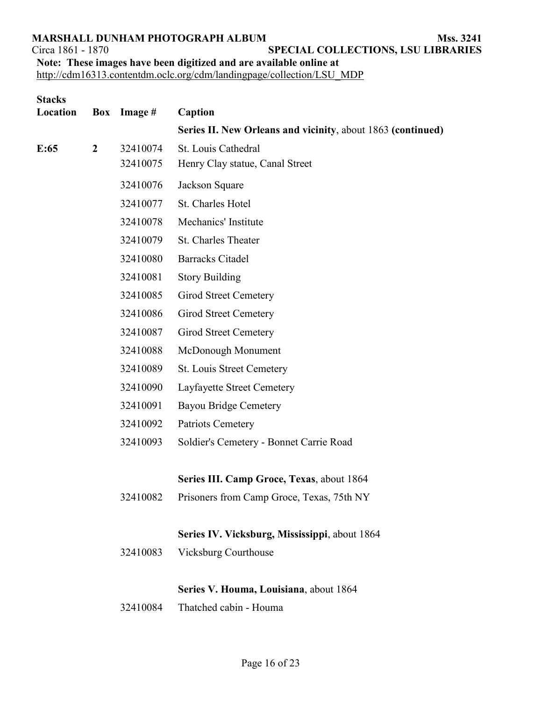**SPECIAL COLLECTIONS, LSU LIBRARIES Note: These images have been digitized and are available online at**

| Location<br>Box Image #<br>Caption                                                                       |  |
|----------------------------------------------------------------------------------------------------------|--|
| Series II. New Orleans and vicinity, about 1863 (continued)                                              |  |
| 32410074<br>St. Louis Cathedral<br>$\overline{2}$<br>E:65<br>32410075<br>Henry Clay statue, Canal Street |  |
| 32410076<br>Jackson Square                                                                               |  |
| St. Charles Hotel<br>32410077                                                                            |  |
| Mechanics' Institute<br>32410078                                                                         |  |
| 32410079<br>St. Charles Theater                                                                          |  |
| 32410080<br><b>Barracks Citadel</b>                                                                      |  |
| 32410081<br><b>Story Building</b>                                                                        |  |
| 32410085<br><b>Girod Street Cemetery</b>                                                                 |  |
| 32410086<br>Girod Street Cemetery                                                                        |  |
| 32410087<br>Girod Street Cemetery                                                                        |  |
| 32410088<br>McDonough Monument                                                                           |  |
| 32410089<br>St. Louis Street Cemetery                                                                    |  |
| 32410090<br>Layfayette Street Cemetery                                                                   |  |
| 32410091<br><b>Bayou Bridge Cemetery</b>                                                                 |  |
| 32410092<br>Patriots Cemetery                                                                            |  |
| 32410093<br>Soldier's Cemetery - Bonnet Carrie Road                                                      |  |
| Series III. Camp Groce, Texas, about 1864                                                                |  |
| 32410082<br>Prisoners from Camp Groce, Texas, 75th NY                                                    |  |
| Series IV. Vicksburg, Mississippi, about 1864                                                            |  |
| 32410083<br><b>Vicksburg Courthouse</b>                                                                  |  |
| Series V. Houma, Louisiana, about 1864                                                                   |  |
| Thatched cabin - Houma<br>32410084                                                                       |  |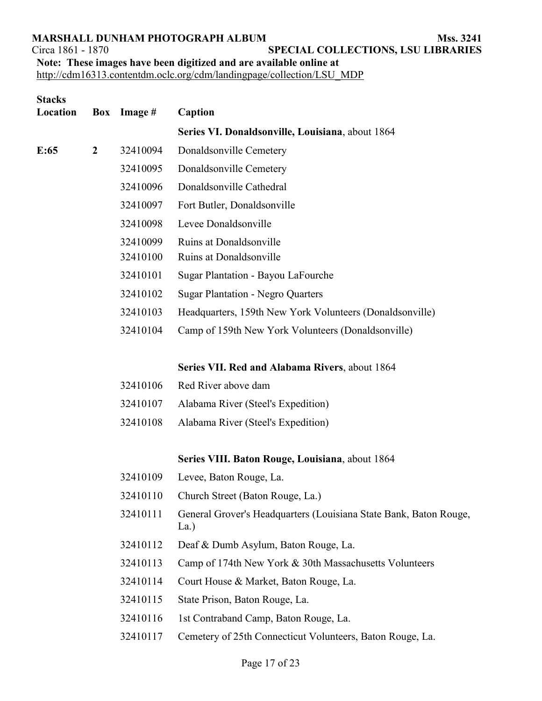**SPECIAL COLLECTIONS, LSU LIBRARIES Note: These images have been digitized and are available online at**

| <b>Stacks</b><br>Location | Box            | Image #  | Caption                                                                   |
|---------------------------|----------------|----------|---------------------------------------------------------------------------|
|                           |                |          | Series VI. Donaldsonville, Louisiana, about 1864                          |
| E:65                      | $\overline{2}$ | 32410094 | Donaldsonville Cemetery                                                   |
|                           |                | 32410095 | Donaldsonville Cemetery                                                   |
|                           |                |          |                                                                           |
|                           |                | 32410096 | Donaldsonville Cathedral                                                  |
|                           |                | 32410097 | Fort Butler, Donaldsonville                                               |
|                           |                | 32410098 | Levee Donaldsonville                                                      |
|                           |                | 32410099 | Ruins at Donaldsonville                                                   |
|                           |                | 32410100 | Ruins at Donaldsonville                                                   |
|                           |                | 32410101 | Sugar Plantation - Bayou LaFourche                                        |
|                           |                | 32410102 | <b>Sugar Plantation - Negro Quarters</b>                                  |
|                           |                | 32410103 | Headquarters, 159th New York Volunteers (Donaldsonville)                  |
|                           |                | 32410104 | Camp of 159th New York Volunteers (Donaldsonville)                        |
|                           |                |          | Series VII. Red and Alabama Rivers, about 1864                            |
|                           |                | 32410106 | Red River above dam                                                       |
|                           |                | 32410107 | Alabama River (Steel's Expedition)                                        |
|                           |                | 32410108 | Alabama River (Steel's Expedition)                                        |
|                           |                |          | Series VIII. Baton Rouge, Louisiana, about 1864                           |
|                           |                | 32410109 | Levee, Baton Rouge, La.                                                   |
|                           |                | 32410110 | Church Street (Baton Rouge, La.)                                          |
|                           |                | 32410111 | General Grover's Headquarters (Louisiana State Bank, Baton Rouge,<br>La.) |
|                           |                | 32410112 | Deaf & Dumb Asylum, Baton Rouge, La.                                      |
|                           |                | 32410113 | Camp of 174th New York & 30th Massachusetts Volunteers                    |
|                           |                | 32410114 | Court House & Market, Baton Rouge, La.                                    |
|                           |                | 32410115 | State Prison, Baton Rouge, La.                                            |
|                           |                | 32410116 | 1st Contraband Camp, Baton Rouge, La.                                     |
|                           |                | 32410117 | Cemetery of 25th Connecticut Volunteers, Baton Rouge, La.                 |
|                           |                |          |                                                                           |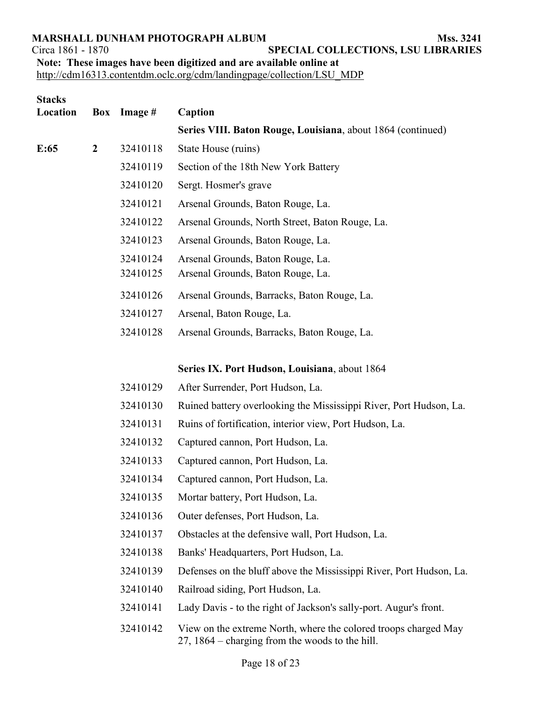**SPECIAL COLLECTIONS, LSU LIBRARIES Note: These images have been digitized and are available online at**

| <b>Stacks</b><br>Location | Box            | Image #  | Caption                                                                                                            |
|---------------------------|----------------|----------|--------------------------------------------------------------------------------------------------------------------|
|                           |                |          | Series VIII. Baton Rouge, Louisiana, about 1864 (continued)                                                        |
| E:65                      | $\overline{2}$ | 32410118 | State House (ruins)                                                                                                |
|                           |                |          |                                                                                                                    |
|                           |                | 32410119 | Section of the 18th New York Battery                                                                               |
|                           |                | 32410120 | Sergt. Hosmer's grave                                                                                              |
|                           |                | 32410121 | Arsenal Grounds, Baton Rouge, La.                                                                                  |
|                           |                | 32410122 | Arsenal Grounds, North Street, Baton Rouge, La.                                                                    |
|                           |                | 32410123 | Arsenal Grounds, Baton Rouge, La.                                                                                  |
|                           |                | 32410124 | Arsenal Grounds, Baton Rouge, La.                                                                                  |
|                           |                | 32410125 | Arsenal Grounds, Baton Rouge, La.                                                                                  |
|                           |                | 32410126 | Arsenal Grounds, Barracks, Baton Rouge, La.                                                                        |
|                           |                | 32410127 | Arsenal, Baton Rouge, La.                                                                                          |
|                           |                | 32410128 | Arsenal Grounds, Barracks, Baton Rouge, La.                                                                        |
|                           |                |          |                                                                                                                    |
|                           |                |          | Series IX. Port Hudson, Louisiana, about 1864                                                                      |
|                           |                | 32410129 | After Surrender, Port Hudson, La.                                                                                  |
|                           |                | 32410130 | Ruined battery overlooking the Mississippi River, Port Hudson, La.                                                 |
|                           |                | 32410131 | Ruins of fortification, interior view, Port Hudson, La.                                                            |
|                           |                | 32410132 | Captured cannon, Port Hudson, La.                                                                                  |
|                           |                | 32410133 | Captured cannon, Port Hudson, La.                                                                                  |
|                           |                | 32410134 | Captured cannon, Port Hudson, La.                                                                                  |
|                           |                | 32410135 | Mortar battery, Port Hudson, La.                                                                                   |
|                           |                | 32410136 | Outer defenses, Port Hudson, La.                                                                                   |
|                           |                | 32410137 | Obstacles at the defensive wall, Port Hudson, La.                                                                  |
|                           |                | 32410138 | Banks' Headquarters, Port Hudson, La.                                                                              |
|                           |                | 32410139 | Defenses on the bluff above the Mississippi River, Port Hudson, La.                                                |
|                           |                | 32410140 | Railroad siding, Port Hudson, La.                                                                                  |
|                           |                | 32410141 | Lady Davis - to the right of Jackson's sally-port. Augur's front.                                                  |
|                           |                | 32410142 | View on the extreme North, where the colored troops charged May<br>27, 1864 – charging from the woods to the hill. |
|                           |                |          |                                                                                                                    |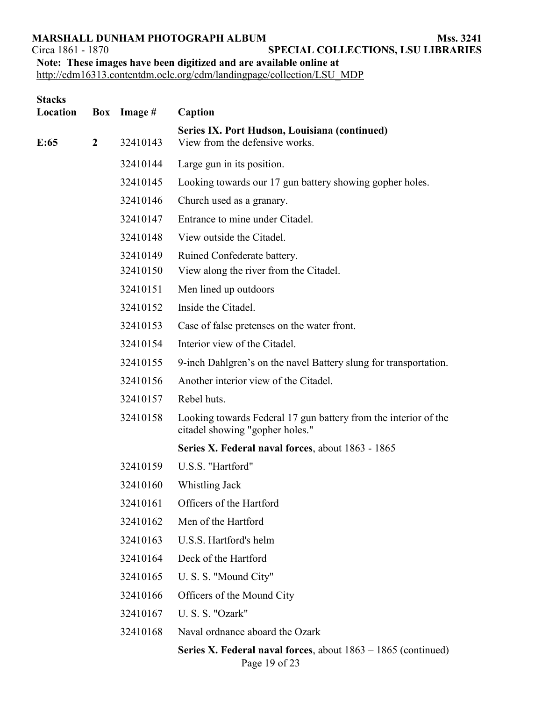**SPECIAL COLLECTIONS, LSU LIBRARIES Note: These images have been digitized and are available online at**

[http://cdm16313.contentdm.oclc.org/cdm/landingpage/collection/LSU\\_MDP](http://cdm16313.contentdm.oclc.org/cdm/landingpage/collection/LSU_MDP)

| <b>Stacks</b><br>Location |                | Box Image # | Caption                                                                                            |
|---------------------------|----------------|-------------|----------------------------------------------------------------------------------------------------|
| E:65                      | $\overline{2}$ | 32410143    | Series IX. Port Hudson, Louisiana (continued)<br>View from the defensive works.                    |
|                           |                | 32410144    | Large gun in its position.                                                                         |
|                           |                | 32410145    | Looking towards our 17 gun battery showing gopher holes.                                           |
|                           |                | 32410146    | Church used as a granary.                                                                          |
|                           |                | 32410147    | Entrance to mine under Citadel.                                                                    |
|                           |                | 32410148    | View outside the Citadel.                                                                          |
|                           |                | 32410149    | Ruined Confederate battery.                                                                        |
|                           |                | 32410150    | View along the river from the Citadel.                                                             |
|                           |                | 32410151    | Men lined up outdoors                                                                              |
|                           |                | 32410152    | Inside the Citadel.                                                                                |
|                           |                | 32410153    | Case of false pretenses on the water front.                                                        |
|                           |                | 32410154    | Interior view of the Citadel.                                                                      |
|                           |                | 32410155    | 9-inch Dahlgren's on the navel Battery slung for transportation.                                   |
|                           |                | 32410156    | Another interior view of the Citadel.                                                              |
|                           |                | 32410157    | Rebel huts.                                                                                        |
|                           |                | 32410158    | Looking towards Federal 17 gun battery from the interior of the<br>citadel showing "gopher holes." |
|                           |                |             | Series X. Federal naval forces, about 1863 - 1865                                                  |
|                           |                | 32410159    | U.S.S. "Hartford"                                                                                  |
|                           |                | 32410160    | Whistling Jack                                                                                     |
|                           |                | 32410161    | Officers of the Hartford                                                                           |
|                           |                | 32410162    | Men of the Hartford                                                                                |
|                           |                | 32410163    | U.S.S. Hartford's helm                                                                             |
|                           |                | 32410164    | Deck of the Hartford                                                                               |
|                           |                | 32410165    | U. S. S. "Mound City"                                                                              |
|                           |                | 32410166    | Officers of the Mound City                                                                         |
|                           |                | 32410167    | U. S. S. "Ozark"                                                                                   |
|                           |                | 32410168    | Naval ordnance aboard the Ozark                                                                    |
|                           |                |             | <b>Series X. Federal naval forces</b> , about $1863 - 1865$ (continued)                            |

Page 19 of 23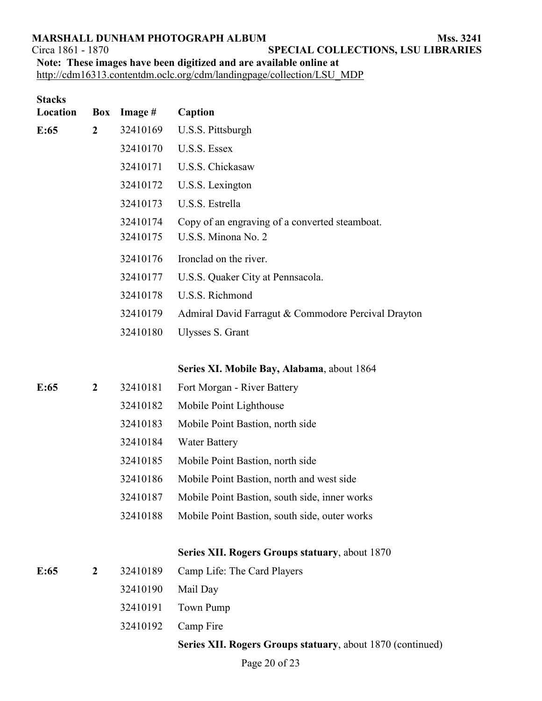**SPECIAL COLLECTIONS, LSU LIBRARIES** 

| Note: These images have been digitized and are available online at |  |  |  |
|--------------------------------------------------------------------|--|--|--|
|                                                                    |  |  |  |

| <b>Stacks</b><br>Location |                  | <b>Box</b> Image #   | Caption                                                               |
|---------------------------|------------------|----------------------|-----------------------------------------------------------------------|
| E:65                      | $\boldsymbol{2}$ | 32410169             | U.S.S. Pittsburgh                                                     |
|                           |                  | 32410170             | U.S.S. Essex                                                          |
|                           |                  | 32410171             | U.S.S. Chickasaw                                                      |
|                           |                  | 32410172             | U.S.S. Lexington                                                      |
|                           |                  | 32410173             | U.S.S. Estrella                                                       |
|                           |                  | 32410174<br>32410175 | Copy of an engraving of a converted steamboat.<br>U.S.S. Minona No. 2 |
|                           |                  | 32410176             | Ironclad on the river.                                                |
|                           |                  | 32410177             | U.S.S. Quaker City at Pennsacola.                                     |
|                           |                  | 32410178             | U.S.S. Richmond                                                       |
|                           |                  | 32410179             | Admiral David Farragut & Commodore Percival Drayton                   |
|                           |                  | 32410180             | Ulysses S. Grant                                                      |
|                           |                  |                      | Series XI. Mobile Bay, Alabama, about 1864                            |
| E:65                      | $\boldsymbol{2}$ | 32410181             | Fort Morgan - River Battery                                           |
|                           |                  | 32410182             | Mobile Point Lighthouse                                               |
|                           |                  | 32410183             | Mobile Point Bastion, north side                                      |
|                           |                  | 32410184             | <b>Water Battery</b>                                                  |
|                           |                  | 32410185             | Mobile Point Bastion, north side                                      |
|                           |                  | 32410186             | Mobile Point Bastion, north and west side                             |
|                           |                  | 32410187             | Mobile Point Bastion, south side, inner works                         |
|                           |                  | 32410188             | Mobile Point Bastion, south side, outer works                         |
|                           |                  |                      | Series XII. Rogers Groups statuary, about 1870                        |
| E:65                      | $\boldsymbol{2}$ | 32410189             | Camp Life: The Card Players                                           |
|                           |                  | 32410190             | Mail Day                                                              |
|                           |                  | 32410191             | Town Pump                                                             |
|                           |                  | 32410192             | Camp Fire                                                             |
|                           |                  |                      | Series XII. Rogers Groups statuary, about 1870 (continued)            |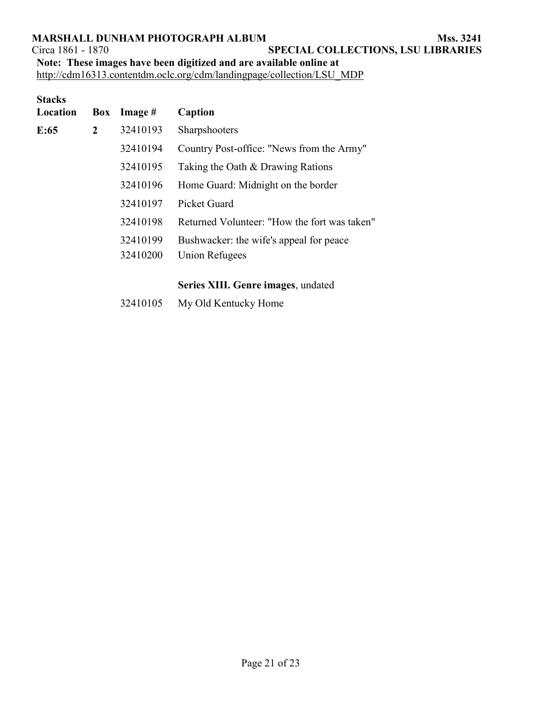Circa 1861 - 1870 **SPECIAL COLLECTIONS, LSU LIBRARIES** 

**Note: These images have been digitized and are available online at**

[http://cdm16313.contentdm.oclc.org/cdm/landingpage/collection/LSU\\_MDP](http://cdm16313.contentdm.oclc.org/cdm/landingpage/collection/LSU_MDP)

| <b>Stacks</b><br>Location |   | Box Image $#$ | Caption                                      |
|---------------------------|---|---------------|----------------------------------------------|
| E:65                      | 2 | 32410193      | Sharpshooters                                |
|                           |   | 32410194      | Country Post-office: "News from the Army"    |
|                           |   | 32410195      | Taking the Oath & Drawing Rations            |
|                           |   | 32410196      | Home Guard: Midnight on the border           |
|                           |   | 32410197      | <b>Picket Guard</b>                          |
|                           |   | 32410198      | Returned Volunteer: "How the fort was taken" |
|                           |   | 32410199      | Bushwacker: the wife's appeal for peace      |
|                           |   | 32410200      | Union Refugees                               |
|                           |   |               |                                              |

# **Series XIII. Genre images**, undated

32410105 My Old Kentucky Home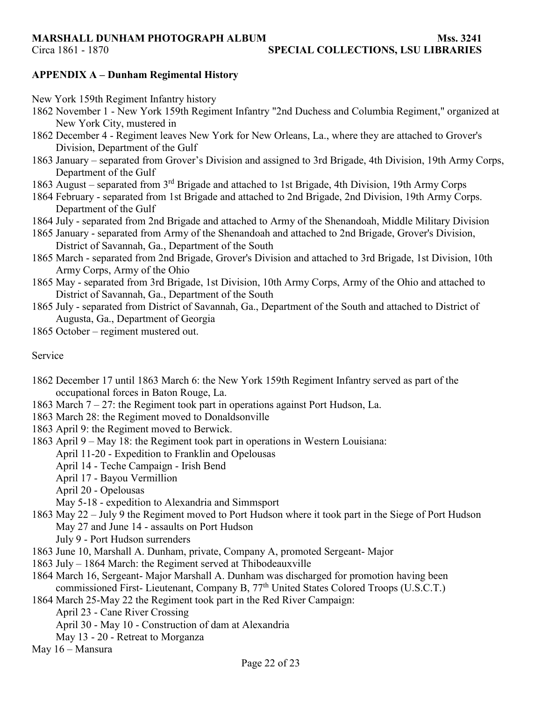Circa 1861 - 1870 **SPECIAL COLLECTIONS, LSU LIBRARIES** 

# **APPENDIX A – Dunham Regimental History**

- New York 159th Regiment Infantry history
- 1862 November 1 New York 159th Regiment Infantry "2nd Duchess and Columbia Regiment," organized at New York City, mustered in
- 1862 December 4 Regiment leaves New York for New Orleans, La., where they are attached to Grover's Division, Department of the Gulf
- 1863 January separated from Grover's Division and assigned to 3rd Brigade, 4th Division, 19th Army Corps, Department of the Gulf
- 1863 August separated from 3rd Brigade and attached to 1st Brigade, 4th Division, 19th Army Corps
- 1864 February separated from 1st Brigade and attached to 2nd Brigade, 2nd Division, 19th Army Corps. Department of the Gulf
- 1864 July separated from 2nd Brigade and attached to Army of the Shenandoah, Middle Military Division
- 1865 January separated from Army of the Shenandoah and attached to 2nd Brigade, Grover's Division, District of Savannah, Ga., Department of the South
- 1865 March separated from 2nd Brigade, Grover's Division and attached to 3rd Brigade, 1st Division, 10th Army Corps, Army of the Ohio
- 1865 May separated from 3rd Brigade, 1st Division, 10th Army Corps, Army of the Ohio and attached to District of Savannah, Ga., Department of the South
- 1865 July separated from District of Savannah, Ga., Department of the South and attached to District of Augusta, Ga., Department of Georgia
- 1865 October regiment mustered out.

# Service

- 1862 December 17 until 1863 March 6: the New York 159th Regiment Infantry served as part of the occupational forces in Baton Rouge, La.
- 1863 March 7 27: the Regiment took part in operations against Port Hudson, La.
- 1863 March 28: the Regiment moved to Donaldsonville
- 1863 April 9: the Regiment moved to Berwick.
- 1863 April 9 May 18: the Regiment took part in operations in Western Louisiana:
	- April 11-20 Expedition to Franklin and Opelousas
	- April 14 Teche Campaign Irish Bend
	- April 17 Bayou Vermillion
	- April 20 Opelousas
	- May 5-18 expedition to Alexandria and Simmsport
- 1863 May 22 July 9 the Regiment moved to Port Hudson where it took part in the Siege of Port Hudson May 27 and June 14 - assaults on Port Hudson
	- July 9 Port Hudson surrenders
- 1863 June 10, Marshall A. Dunham, private, Company A, promoted Sergeant- Major
- 1863 July 1864 March: the Regiment served at Thibodeauxville
- 1864 March 16, Sergeant- Major Marshall A. Dunham was discharged for promotion having been commissioned First- Lieutenant, Company B,  $77<sup>th</sup>$  United States Colored Troops (U.S.C.T.)
- 1864 March 25-May 22 the Regiment took part in the Red River Campaign:
	- April 23 Cane River Crossing
	- April 30 May 10 Construction of dam at Alexandria
	- May 13 20 Retreat to Morganza
- May 16 Mansura